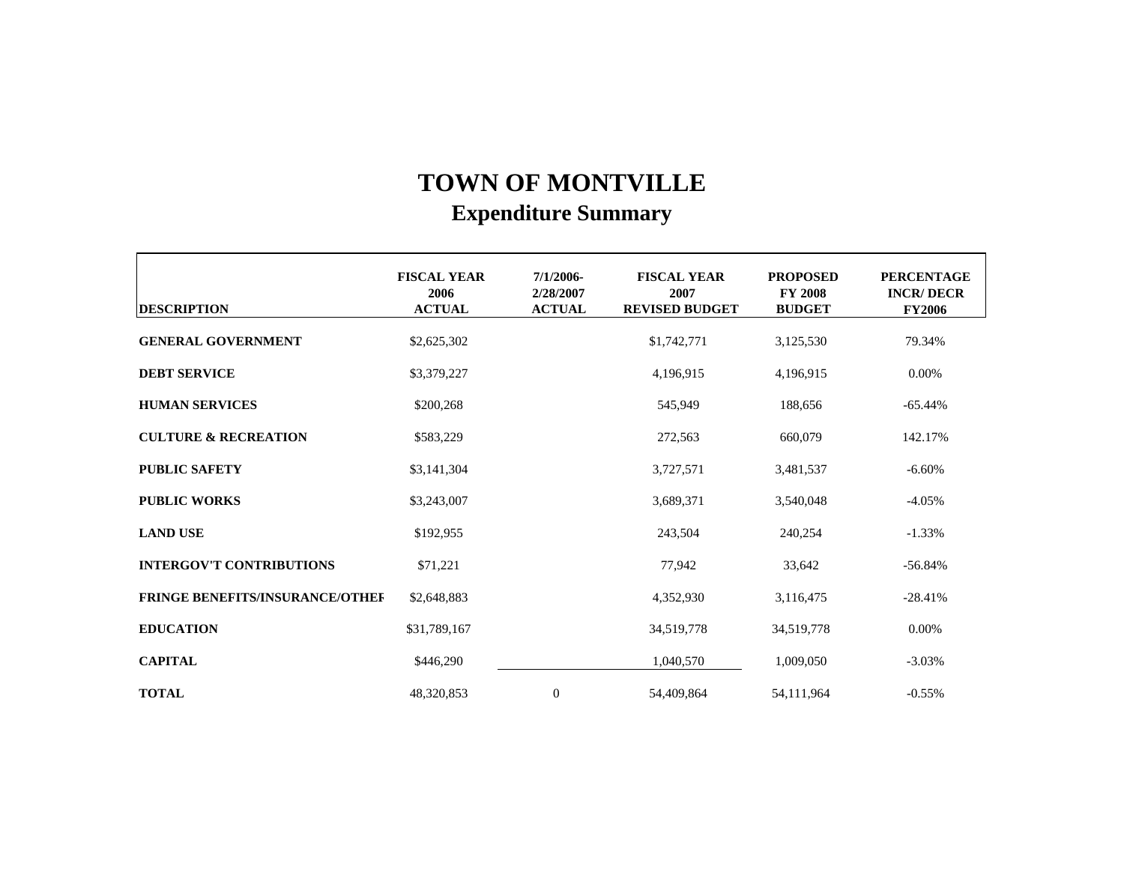| <b>DESCRIPTION</b>                     | <b>FISCAL YEAR</b><br>2006<br><b>ACTUAL</b> | $7/1/2006-$<br>2/28/2007<br><b>ACTUAL</b> | <b>FISCAL YEAR</b><br>2007<br><b>REVISED BUDGET</b> | <b>PROPOSED</b><br><b>FY 2008</b><br><b>BUDGET</b> | <b>PERCENTAGE</b><br><b>INCR/DECR</b><br><b>FY2006</b> |  |
|----------------------------------------|---------------------------------------------|-------------------------------------------|-----------------------------------------------------|----------------------------------------------------|--------------------------------------------------------|--|
| <b>GENERAL GOVERNMENT</b>              | \$2,625,302                                 |                                           | \$1,742,771                                         | 3,125,530                                          | 79.34%                                                 |  |
| <b>DEBT SERVICE</b>                    | \$3,379,227                                 |                                           | 4,196,915                                           | 4,196,915                                          | $0.00\%$                                               |  |
| <b>HUMAN SERVICES</b>                  | \$200,268                                   |                                           | 545,949                                             | 188,656                                            | $-65.44%$                                              |  |
| <b>CULTURE &amp; RECREATION</b>        | \$583,229                                   |                                           | 272,563                                             | 660,079                                            | 142.17%                                                |  |
| <b>PUBLIC SAFETY</b>                   | \$3,141,304                                 |                                           | 3,727,571                                           | 3,481,537                                          | $-6.60%$                                               |  |
| <b>PUBLIC WORKS</b>                    | \$3,243,007                                 |                                           | 3,689,371                                           | 3,540,048                                          | $-4.05%$                                               |  |
| <b>LAND USE</b>                        | \$192,955                                   |                                           | 243,504                                             | 240,254                                            | $-1.33\%$                                              |  |
| <b>INTERGOV'T CONTRIBUTIONS</b>        | \$71,221                                    |                                           | 77,942                                              | 33,642                                             | $-56.84%$                                              |  |
| <b>FRINGE BENEFITS/INSURANCE/OTHEF</b> | \$2,648,883                                 |                                           | 4,352,930                                           | 3,116,475                                          | $-28.41%$                                              |  |
| <b>EDUCATION</b>                       | \$31,789,167                                |                                           | 34,519,778                                          | 34,519,778                                         | 0.00%                                                  |  |
| <b>CAPITAL</b>                         | \$446,290                                   |                                           | 1,040,570                                           | 1,009,050                                          | $-3.03%$                                               |  |
| <b>TOTAL</b>                           | 48,320,853                                  | $\overline{0}$                            | 54,409,864                                          | 54,111,964                                         | $-0.55%$                                               |  |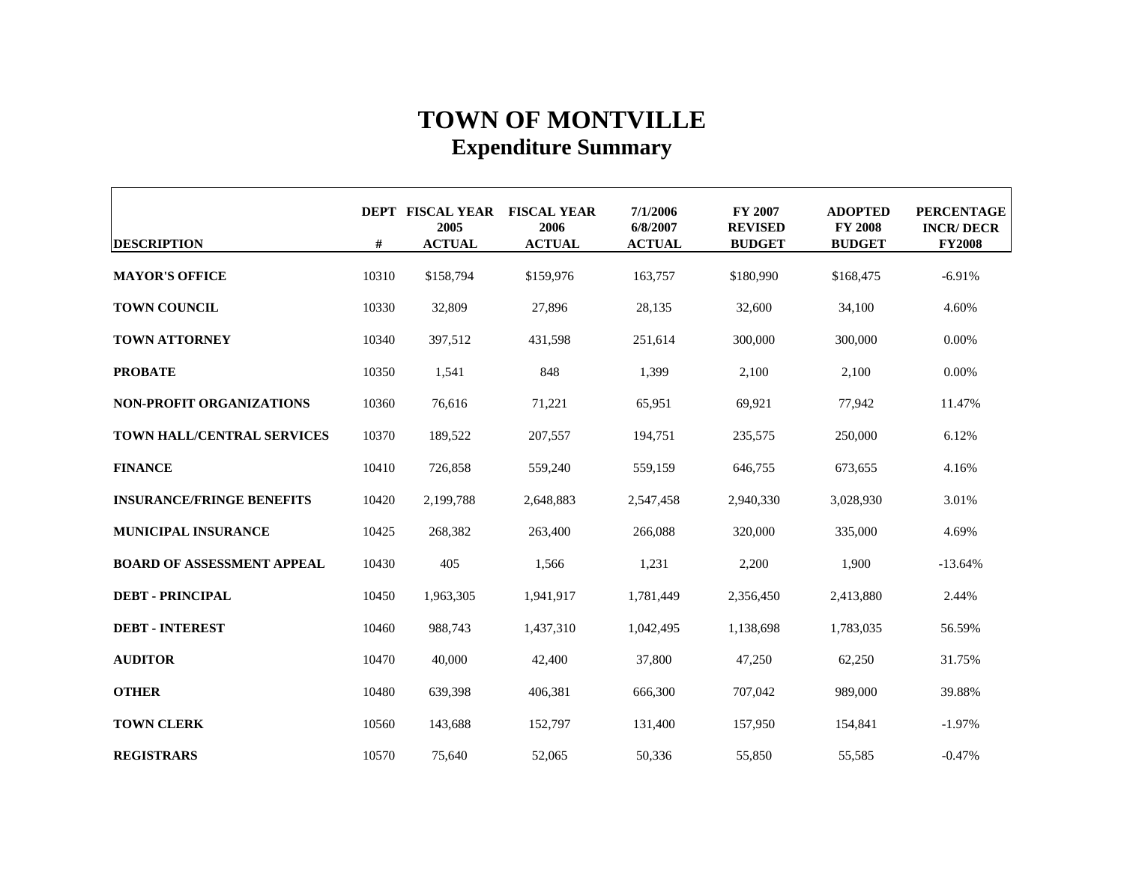| <b>DESCRIPTION</b>                | #     | DEPT FISCAL YEAR FISCAL YEAR<br>2005<br><b>ACTUAL</b> | 2006<br><b>ACTUAL</b> | 7/1/2006<br>6/8/2007<br><b>ACTUAL</b> | <b>FY 2007</b><br><b>REVISED</b><br><b>BUDGET</b> | <b>ADOPTED</b><br><b>FY 2008</b><br><b>BUDGET</b> | <b>PERCENTAGE</b><br><b>INCR/DECR</b><br><b>FY2008</b> |
|-----------------------------------|-------|-------------------------------------------------------|-----------------------|---------------------------------------|---------------------------------------------------|---------------------------------------------------|--------------------------------------------------------|
| <b>MAYOR'S OFFICE</b>             | 10310 | \$158,794                                             | \$159,976             | 163,757                               | \$180,990                                         | \$168,475                                         | $-6.91%$                                               |
| <b>TOWN COUNCIL</b>               | 10330 | 32,809                                                | 27,896                | 28,135                                | 32,600                                            | 34,100                                            | 4.60%                                                  |
| <b>TOWN ATTORNEY</b>              | 10340 | 397,512                                               | 431,598               | 251,614                               | 300,000                                           | 300,000                                           | 0.00%                                                  |
| <b>PROBATE</b>                    | 10350 | 1,541                                                 | 848                   | 1,399                                 | 2,100                                             | 2,100                                             | 0.00%                                                  |
| <b>NON-PROFIT ORGANIZATIONS</b>   | 10360 | 76,616                                                | 71,221                | 65,951                                | 69,921                                            | 77,942                                            | 11.47%                                                 |
| <b>TOWN HALL/CENTRAL SERVICES</b> | 10370 | 189,522                                               | 207,557               | 194,751                               | 235,575                                           | 250,000                                           | 6.12%                                                  |
| <b>FINANCE</b>                    | 10410 | 726,858                                               | 559,240               | 559,159                               | 646,755                                           | 673,655                                           | 4.16%                                                  |
| <b>INSURANCE/FRINGE BENEFITS</b>  | 10420 | 2,199,788                                             | 2,648,883             | 2,547,458                             | 2,940,330                                         | 3,028,930                                         | 3.01%                                                  |
| <b>MUNICIPAL INSURANCE</b>        | 10425 | 268,382                                               | 263,400               | 266,088                               | 320,000                                           | 335,000                                           | 4.69%                                                  |
| <b>BOARD OF ASSESSMENT APPEAL</b> | 10430 | 405                                                   | 1,566                 | 1,231                                 | 2,200                                             | 1,900                                             | $-13.64%$                                              |
| <b>DEBT - PRINCIPAL</b>           | 10450 | 1,963,305                                             | 1,941,917             | 1,781,449                             | 2,356,450                                         | 2,413,880                                         | 2.44%                                                  |
| <b>DEBT - INTEREST</b>            | 10460 | 988,743                                               | 1,437,310             | 1,042,495                             | 1,138,698                                         | 1,783,035                                         | 56.59%                                                 |
| <b>AUDITOR</b>                    | 10470 | 40,000                                                | 42,400                | 37,800                                | 47,250                                            | 62,250                                            | 31.75%                                                 |
| <b>OTHER</b>                      | 10480 | 639,398                                               | 406,381               | 666,300                               | 707,042                                           | 989,000                                           | 39.88%                                                 |
| <b>TOWN CLERK</b>                 | 10560 | 143,688                                               | 152,797               | 131,400                               | 157,950                                           | 154,841                                           | $-1.97%$                                               |
| <b>REGISTRARS</b>                 | 10570 | 75,640                                                | 52,065                | 50,336                                | 55,850                                            | 55,585                                            | $-0.47%$                                               |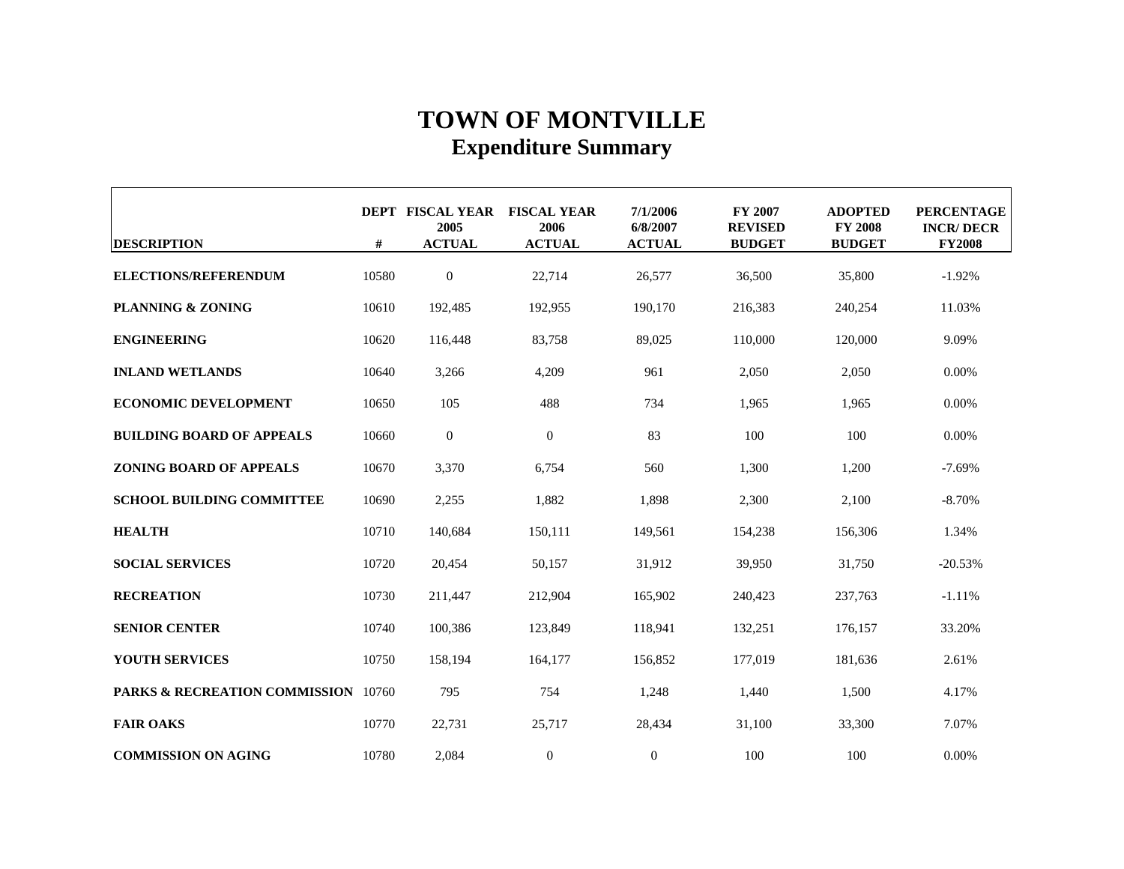| <b>DESCRIPTION</b>                             | #     | DEPT FISCAL YEAR FISCAL YEAR<br>2005<br><b>ACTUAL</b> | 2006<br><b>ACTUAL</b> | 7/1/2006<br>6/8/2007<br><b>ACTUAL</b> | <b>FY 2007</b><br><b>REVISED</b><br><b>BUDGET</b> | <b>ADOPTED</b><br><b>FY 2008</b><br><b>BUDGET</b> | <b>PERCENTAGE</b><br><b>INCR/DECR</b><br><b>FY2008</b> |
|------------------------------------------------|-------|-------------------------------------------------------|-----------------------|---------------------------------------|---------------------------------------------------|---------------------------------------------------|--------------------------------------------------------|
| <b>ELECTIONS/REFERENDUM</b>                    | 10580 | $\boldsymbol{0}$                                      | 22,714                | 26,577                                | 36,500                                            | 35,800                                            | $-1.92%$                                               |
| <b>PLANNING &amp; ZONING</b>                   | 10610 | 192,485                                               | 192,955               | 190,170                               | 216,383                                           | 240,254                                           | 11.03%                                                 |
| <b>ENGINEERING</b>                             | 10620 | 116,448                                               | 83,758                | 89,025                                | 110,000                                           | 120,000                                           | 9.09%                                                  |
| <b>INLAND WETLANDS</b>                         | 10640 | 3,266                                                 | 4,209                 | 961                                   | 2,050                                             | 2,050                                             | 0.00%                                                  |
| <b>ECONOMIC DEVELOPMENT</b>                    | 10650 | 105                                                   | 488                   | 734                                   | 1,965                                             | 1,965                                             | $0.00\%$                                               |
| <b>BUILDING BOARD OF APPEALS</b>               | 10660 | $\mathbf{0}$                                          | $\boldsymbol{0}$      | 83                                    | 100                                               | 100                                               | $0.00\%$                                               |
| <b>ZONING BOARD OF APPEALS</b>                 | 10670 | 3,370                                                 | 6,754                 | 560                                   | 1,300                                             | 1,200                                             | $-7.69%$                                               |
| <b>SCHOOL BUILDING COMMITTEE</b>               | 10690 | 2,255                                                 | 1,882                 | 1,898                                 | 2,300                                             | 2,100                                             | $-8.70%$                                               |
| <b>HEALTH</b>                                  | 10710 | 140,684                                               | 150,111               | 149,561                               | 154,238                                           | 156,306                                           | 1.34%                                                  |
| <b>SOCIAL SERVICES</b>                         | 10720 | 20,454                                                | 50,157                | 31,912                                | 39,950                                            | 31,750                                            | $-20.53%$                                              |
| <b>RECREATION</b>                              | 10730 | 211,447                                               | 212,904               | 165,902                               | 240.423                                           | 237,763                                           | $-1.11%$                                               |
| <b>SENIOR CENTER</b>                           | 10740 | 100,386                                               | 123,849               | 118,941                               | 132,251                                           | 176,157                                           | 33.20%                                                 |
| <b>YOUTH SERVICES</b>                          | 10750 | 158,194                                               | 164,177               | 156,852                               | 177,019                                           | 181,636                                           | 2.61%                                                  |
| <b>PARKS &amp; RECREATION COMMISSION</b> 10760 |       | 795                                                   | 754                   | 1,248                                 | 1,440                                             | 1,500                                             | 4.17%                                                  |
| <b>FAIR OAKS</b>                               | 10770 | 22,731                                                | 25,717                | 28,434                                | 31,100                                            | 33,300                                            | 7.07%                                                  |
| <b>COMMISSION ON AGING</b>                     | 10780 | 2,084                                                 | $\boldsymbol{0}$      | $\mathbf{0}$                          | 100                                               | 100                                               | 0.00%                                                  |